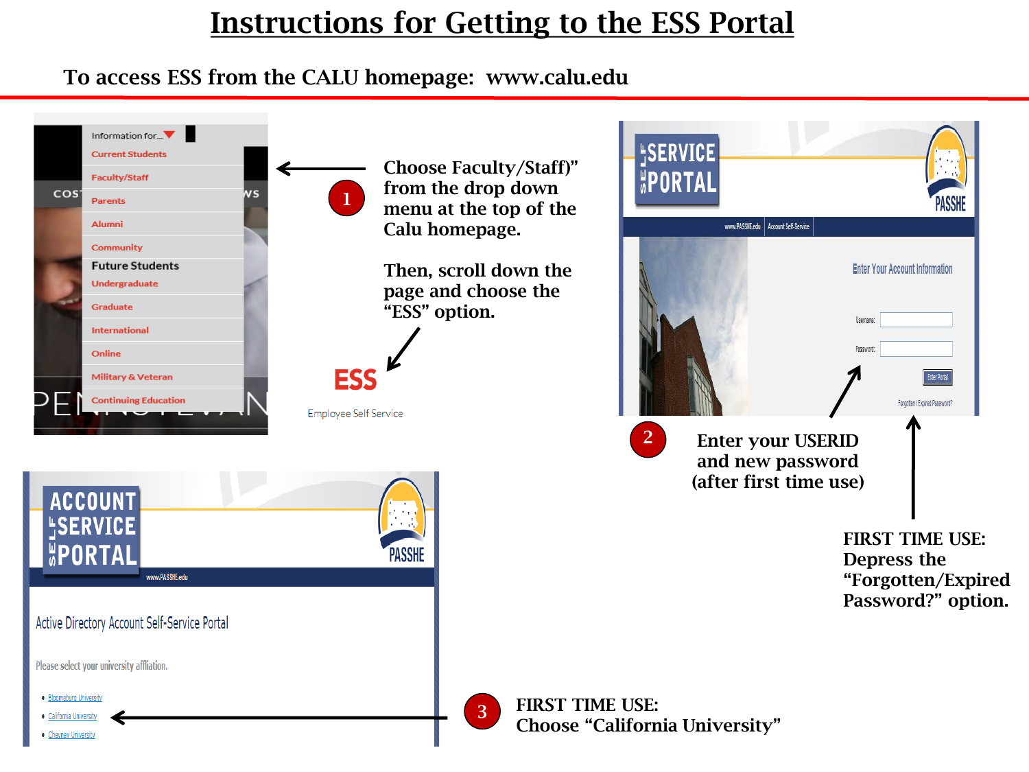# Instructions for Getting to the ESS Portal

### To access ESS from the CALU homepage: www.calu.edu

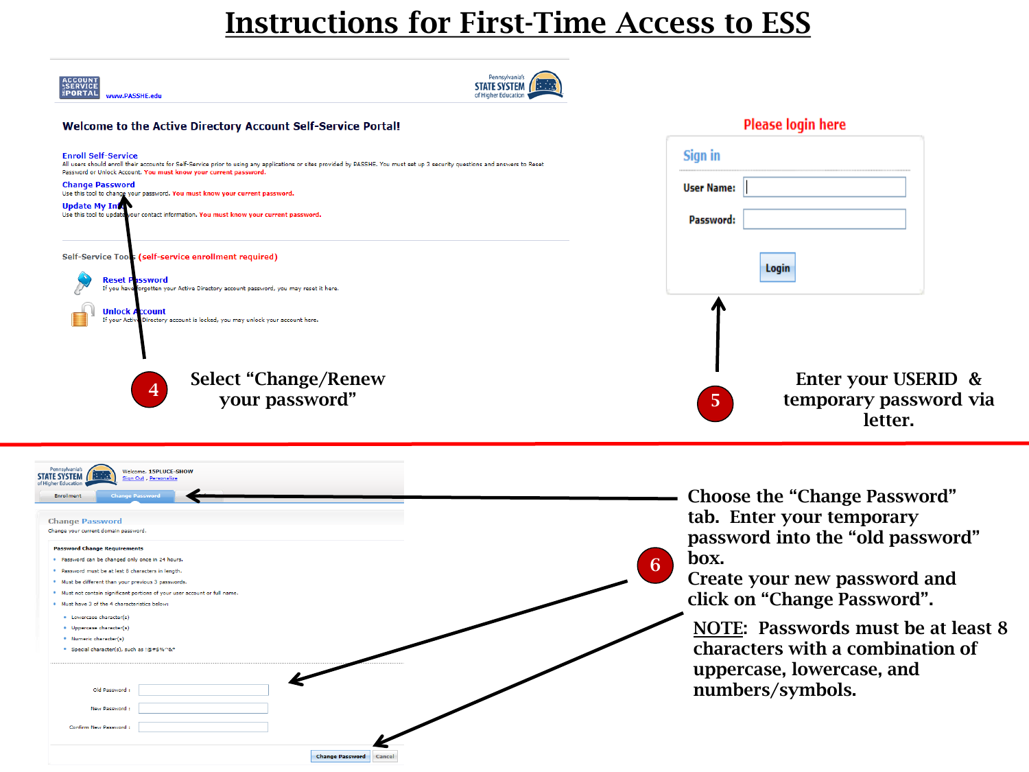## Instructions for First-Time Access to ESS

| <b>ACCOUNT</b><br>SERVICE<br>PORTAL<br>www.PASSHE.edu                                                                                                                                                                                                                            | Pennsylvania's<br><b>STATE SYSTEM</b><br>of Higher Education |                                                                |  |
|----------------------------------------------------------------------------------------------------------------------------------------------------------------------------------------------------------------------------------------------------------------------------------|--------------------------------------------------------------|----------------------------------------------------------------|--|
| Welcome to the Active Directory Account Self-Service Portal!                                                                                                                                                                                                                     |                                                              | Please login here                                              |  |
| <b>Enroll Self-Service</b><br>All users should enroll their accounts for Self-Service prior to using any applications or sites provided by PASSHE. You must set up 3 security questions and answers to Reset<br>Password or Unlock Account. You must know your current password. |                                                              | Sign in                                                        |  |
| <b>Change Password</b><br>Use this tool to change your password. You must know your current password.                                                                                                                                                                            |                                                              | <b>User Name:</b>                                              |  |
| <b>Update My Information</b><br>Use this tool to update your contact information. You must know your current password.                                                                                                                                                           |                                                              | Password:                                                      |  |
| Self-Service Tools (self-service enrollment required)<br><b>Reset Password</b><br>If you have forgotten your Active Directory account password, you may reset it here.                                                                                                           |                                                              | Login                                                          |  |
| <b>Unlock Account</b><br>If your Active Directory account is locked, you may unlock your account here.                                                                                                                                                                           |                                                              |                                                                |  |
| <b>Select "Change/Renew</b><br>$\overline{4}$<br>your password"                                                                                                                                                                                                                  |                                                              | Enter your USERID &<br>57<br>temporary password via<br>letter. |  |

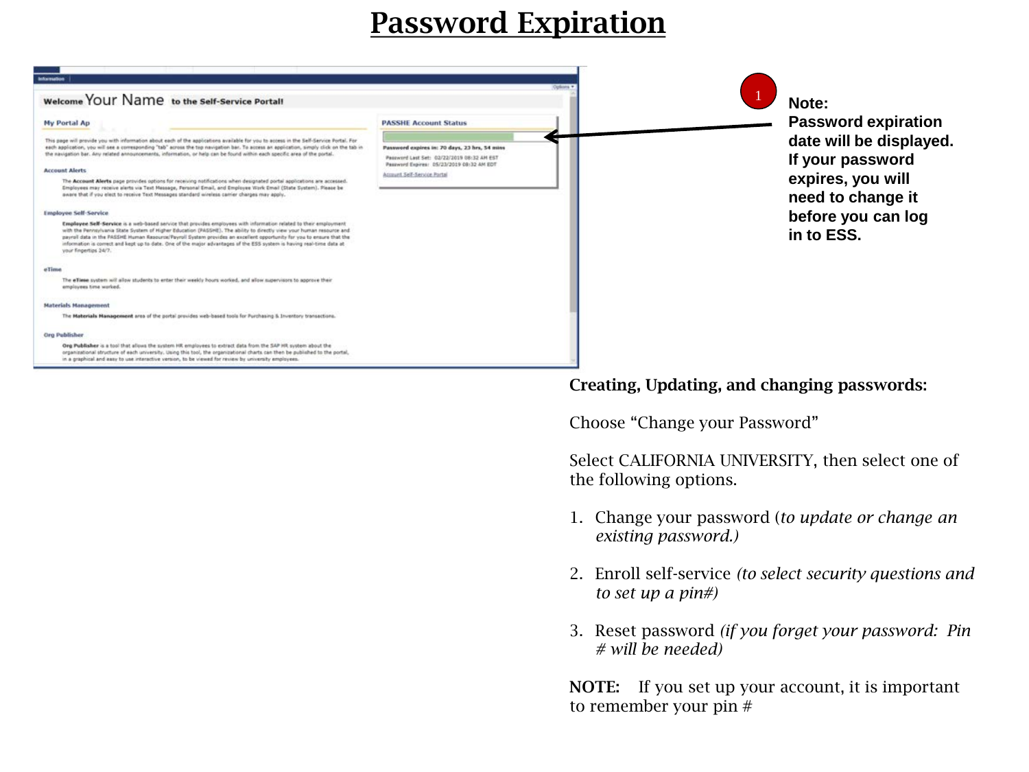# Password Expiration



### Creating, Updating, and changing passwords:

Choose "Change your Password"

Select CALIFORNIA UNIVERSITY, then select one of the following options.

- 1. Change your password (*to update or change an existing password.)*
- 2. Enroll self-service *(to select security questions and to set up a pin#)*
- 3. Reset password *(if you forget your password: Pin # will be needed)*

NOTE: If you set up your account, it is important to remember your pin #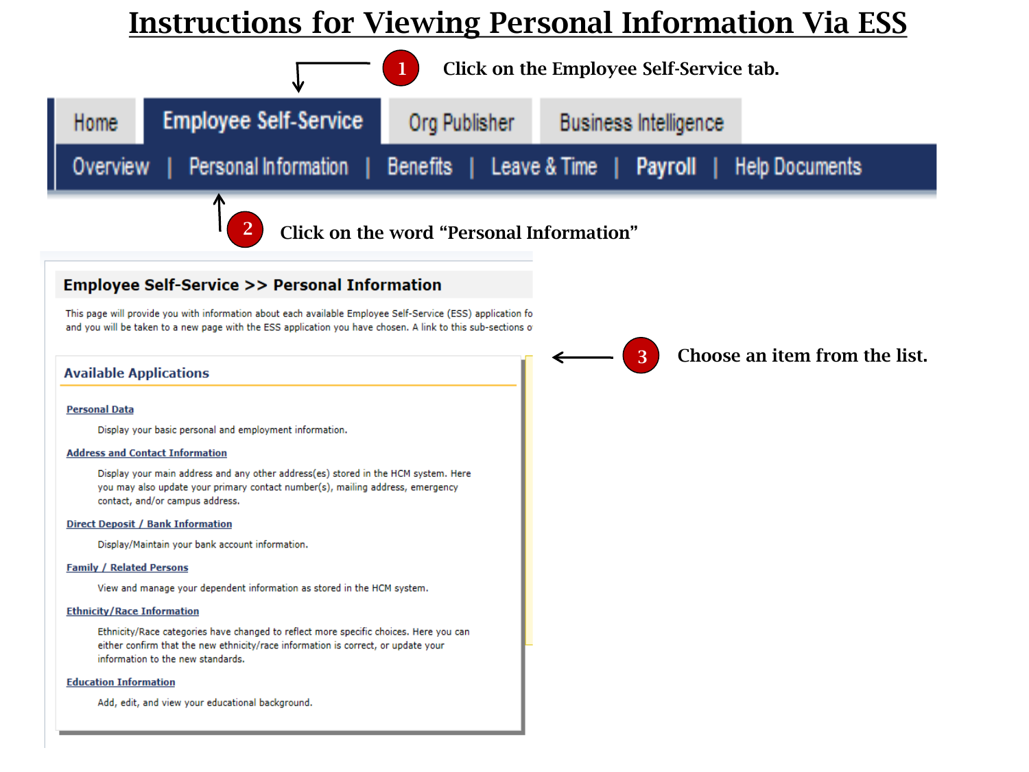## Instructions for Viewing Personal Information Via ESS

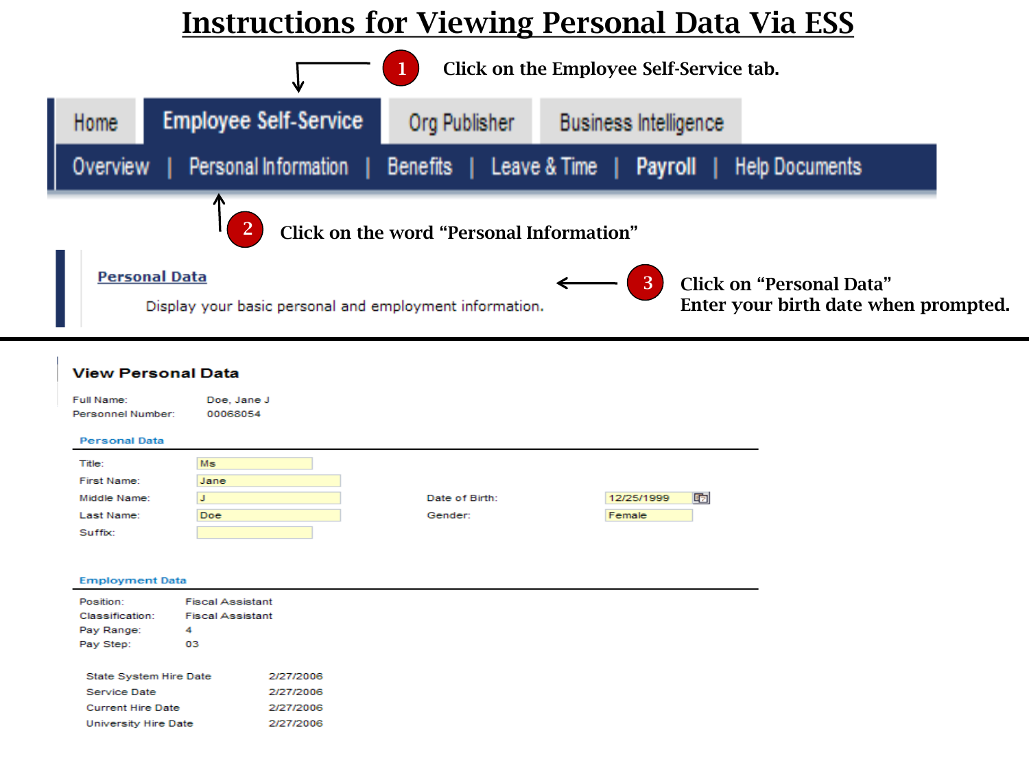## **Instructions for Viewing Personal Data Via ESS**



哂

| Full Name:<br>Personnel Number: | Doe, Jane J<br>00068054 |                |            |
|---------------------------------|-------------------------|----------------|------------|
| <b>Personal Data</b>            |                         |                |            |
| Title:                          | <b>Ms</b>               |                |            |
| First Name:                     | Jane                    |                |            |
| Middle Name:                    |                         | Date of Birth: | 12/25/1999 |
| Last Name:                      | <b>Doe</b>              | Gender:        | Female     |

#### **Employment Data**

Suffix:

| Position:<br>Classification:<br>Pay Range:<br>Pay Step:          | <b>Fiscal Assistant</b><br><b>Fiscal Assistant</b><br>4<br>03 |                                     |
|------------------------------------------------------------------|---------------------------------------------------------------|-------------------------------------|
| State System Hire Date                                           |                                                               | 2/27/2006                           |
| Service Date<br><b>Current Hire Date</b><br>University Hire Date |                                                               | 2/27/2006<br>2/27/2006<br>2/27/2006 |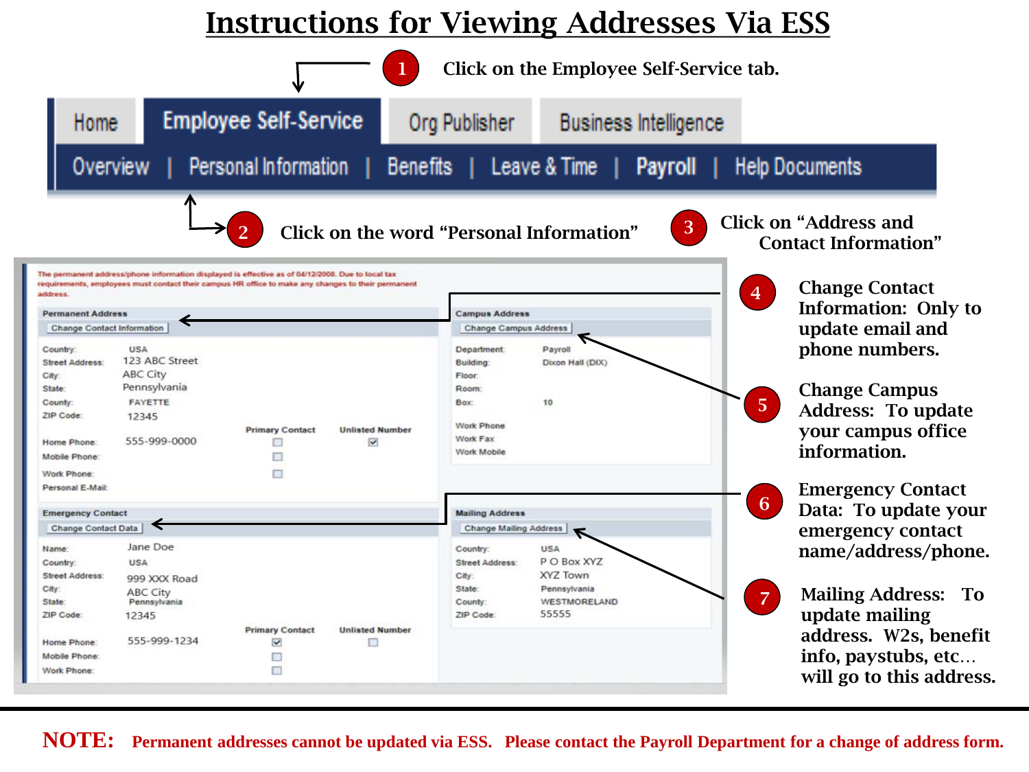## Instructions for Viewing Addresses Via ESS



**NOTE: Permanent addresses cannot be updated via ESS. Please contact the Payroll Department for a change of address form.**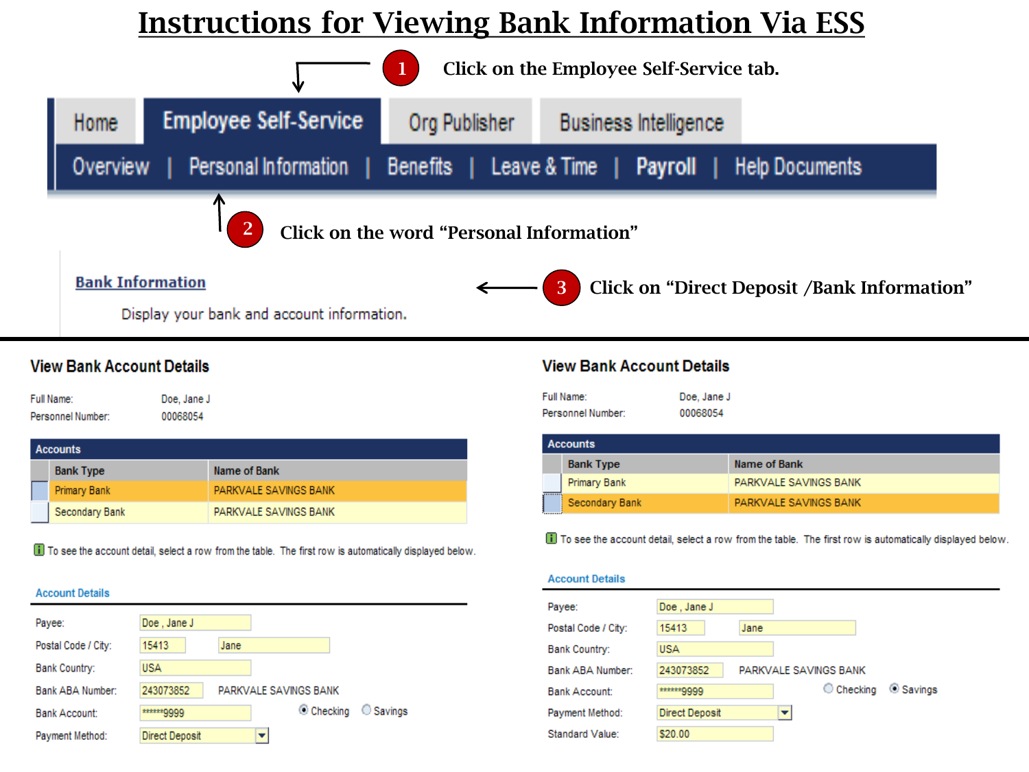# **Instructions for Viewing Bank Information Via ESS**



### **View Bank Account Details**

Full Name: Doe, Jane J Personnel Number: 00068054

| Accounts         |                       |  |  |  |
|------------------|-----------------------|--|--|--|
| <b>Bank Type</b> | Name of Bank          |  |  |  |
| Primary Bank     | PARKVALE SAVINGS BANK |  |  |  |
| Secondary Bank   | PARKVALE SAVINGS BANK |  |  |  |

To see the account detail, select a row from the table. The first row is automatically displayed below.

### **Account Details**

| Payee:               | Doe, Jane J    |                       |         |
|----------------------|----------------|-----------------------|---------|
| Postal Code / City:  | 15413          | Jane                  |         |
| Bank Country:        | <b>USA</b>     |                       |         |
| Bank ABA Number:     | 243073852      | PARKVALE SAVINGS BANK |         |
| <b>Bank Account:</b> | ******9999     | Checking              | Savings |
| Payment Method:      | Direct Deposit |                       |         |

### **View Bank Account Details**

| Full Name:        | Doe, Jane J |
|-------------------|-------------|
| Personnel Number: | 00068054    |

|          | <b>Accounts</b>  |                       |  |  |  |  |
|----------|------------------|-----------------------|--|--|--|--|
|          | <b>Bank Type</b> | Name of Bank          |  |  |  |  |
|          | Primary Bank     | PARKVALE SAVINGS BANK |  |  |  |  |
| <b>.</b> | Secondary Bank   | PARKVALE SAVINGS BANK |  |  |  |  |

To see the account detail, select a row from the table. The first row is automatically displayed below.

#### **Account Details**

| Payee:              | Doe, Jane J           |      |                       |         |
|---------------------|-----------------------|------|-----------------------|---------|
| Postal Code / City: | 15413                 | Jane |                       |         |
| Bank Country:       | <b>USA</b>            |      |                       |         |
| Bank ABA Number:    | 243073852             |      | PARKVALE SAVINGS BANK |         |
| Bank Account:       | ******9999            |      | C Checking            | Savings |
| Payment Method:     | <b>Direct Deposit</b> |      |                       |         |
| Standard Value:     | \$20.00               |      |                       |         |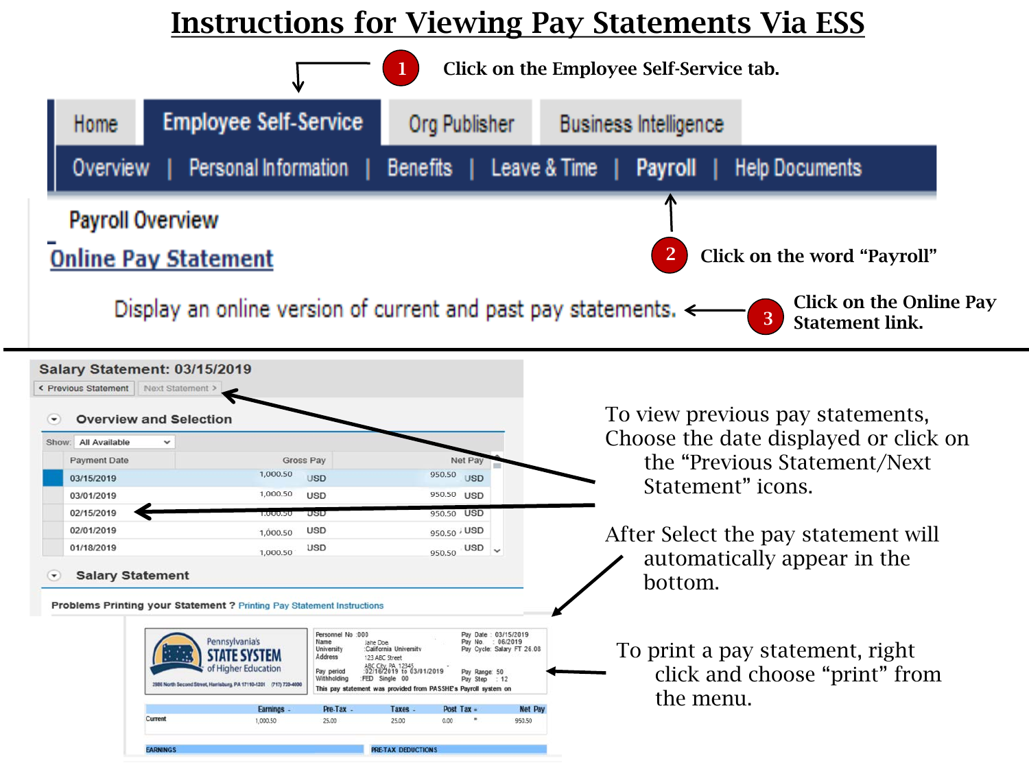## Instructions for Viewing Pay Statements Via ESS

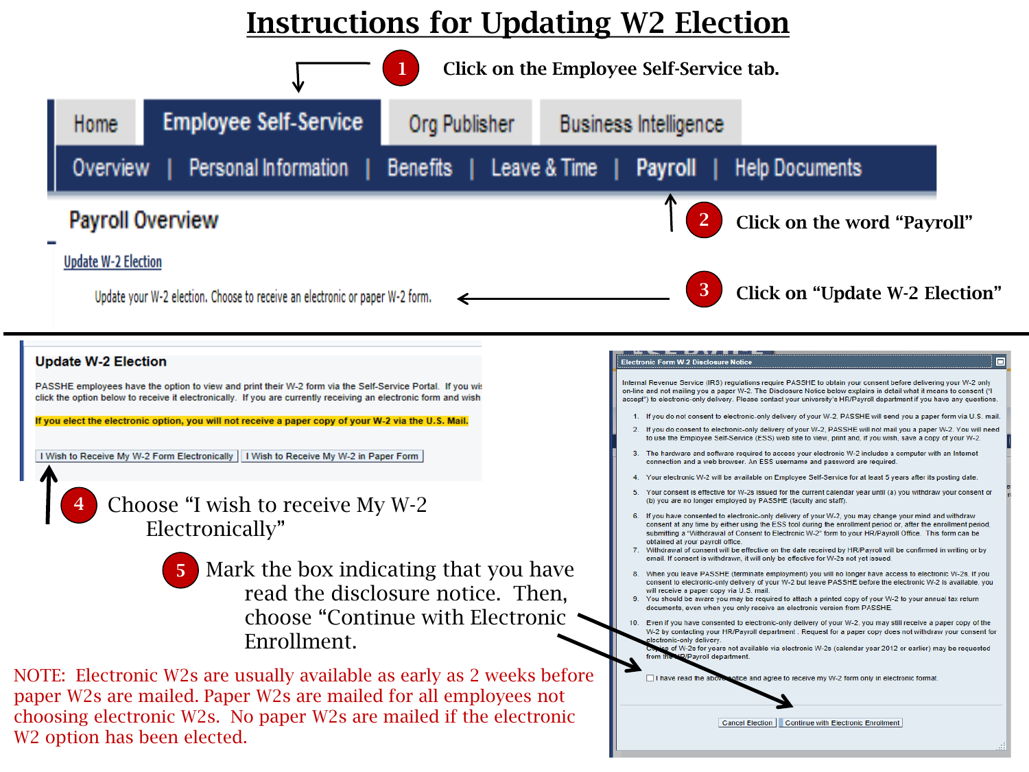# Instructions for Updating W2 Election



W2 option has been elected.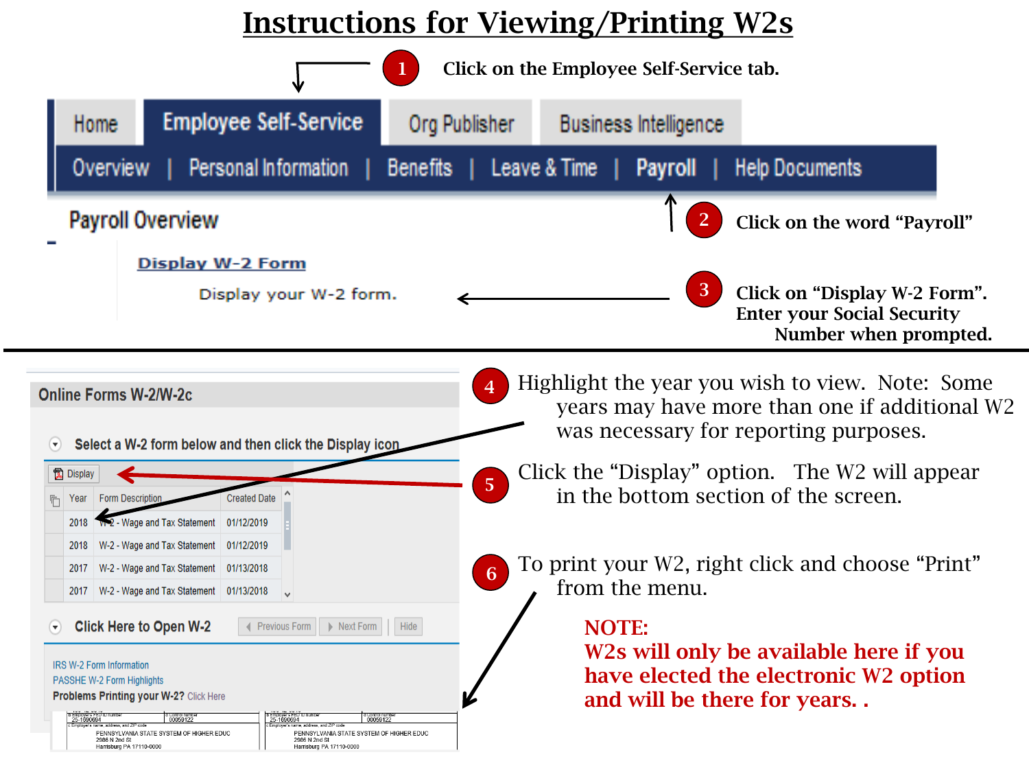## Instructions for Viewing/Printing W2s

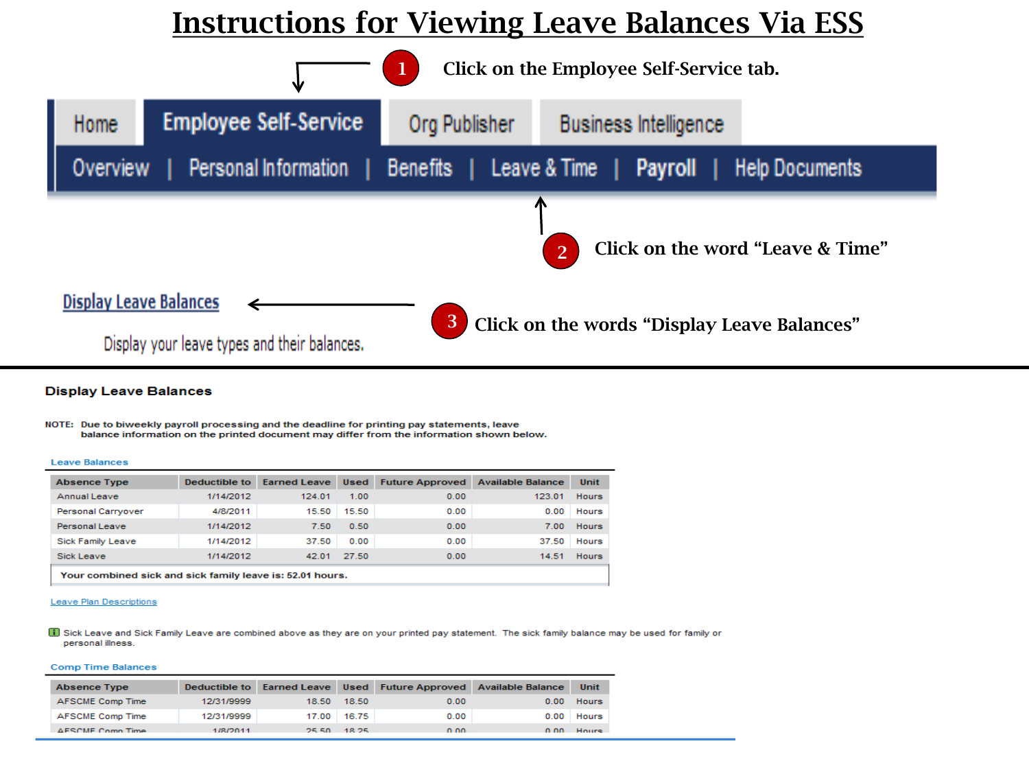## **Instructions for Viewing Leave Balances Via ESS**



### **Display Leave Balances**

NOTE: Due to biweekly payroll processing and the deadline for printing pay statements, leave balance information on the printed document may differ from the information shown below.

#### **Leave Balances**

| <b>Absence Type</b>                                       | Deductible to | <b>Earned Leave</b> | <b>Used</b> | <b>Future Approved</b> | <b>Available Balance</b> | Unit         |  |
|-----------------------------------------------------------|---------------|---------------------|-------------|------------------------|--------------------------|--------------|--|
| Annual Leave                                              | 1/14/2012     | 124.01              | 1.00        | 0.00                   | 123.01                   | <b>Hours</b> |  |
| Personal Carryover                                        | 4/8/2011      | 15.50               | 15.50       | 0.00                   | 0.00                     | Hours        |  |
| Personal Leave                                            | 1/14/2012     | 7.50                | 0.50        | 0.00                   | 7.00                     | <b>Hours</b> |  |
| Sick Family Leave                                         | 1/14/2012     | 37.50               | 0.00        | 0.00                   | 37.50                    | Hours        |  |
| Sick Leave                                                | 1/14/2012     | 42.01               | 27.50       | 0.00                   | 14.51                    | <b>Hours</b> |  |
| Your combined sick and sick family leave is: 52.01 hours. |               |                     |             |                        |                          |              |  |

#### **Leave Plan Descriptions**

ii) Sick Leave and Sick Family Leave are combined above as they are on your printed pay statement. The sick family balance may be used for family or personal illness.

#### **Comp Time Balances**

| <b>Absence Type</b> |            |              |             |      | Deductible to Earned Leave Used Future Approved Available Balance | Unit         |
|---------------------|------------|--------------|-------------|------|-------------------------------------------------------------------|--------------|
| AFSCME Comp Time    | 12/31/9999 | 18.50        | 18.50       | 0.00 | 0.00                                                              | Hours        |
| AFSCME Comp Time    | 12/31/9999 |              | 17.00 16.75 | 0.00 |                                                                   | $0.00$ Hours |
| AFSCME Comp Time    | 1/8/2011   | <b>DE EN</b> | - 18.25     | 0.00 | n nn.                                                             | Hours        |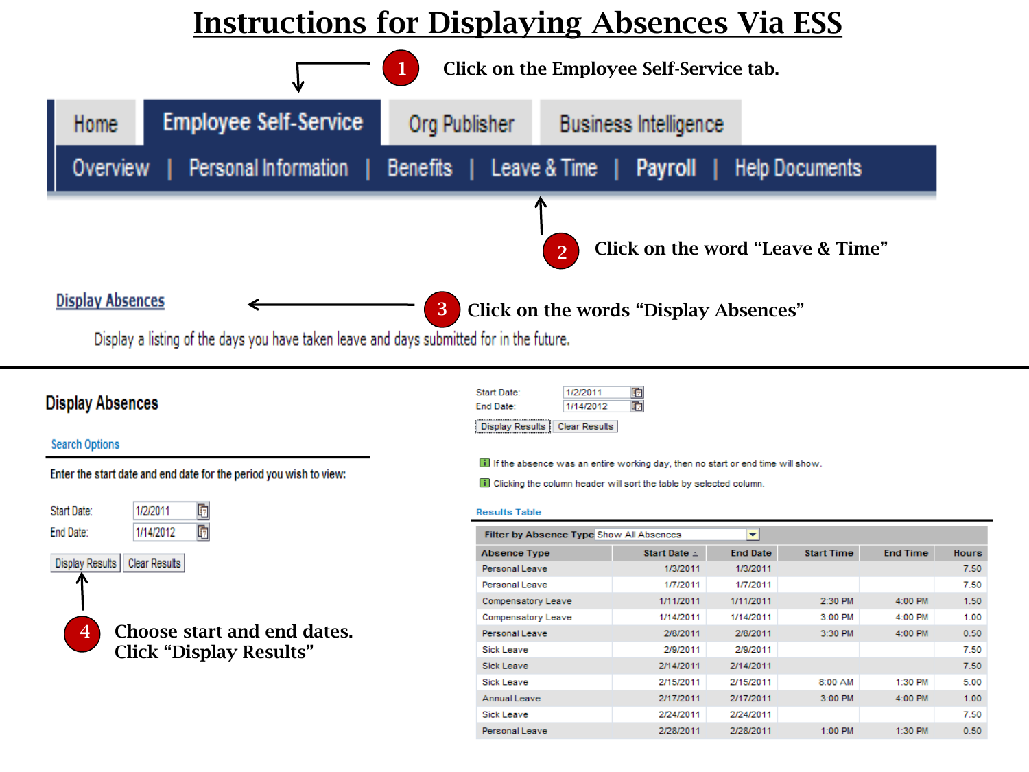## **Instructions for Displaying Absences Via ESS**



### **Display Absences**

### **Search Options**

Enter the start date and end date for the period you wish to view:



| Start Date:                   | 1/2/2011  | 呞 |
|-------------------------------|-----------|---|
| Ind Date:                     | 1/14/2012 | 咰 |
| Display Results Clear Results |           |   |

If the absence was an entire working day, then no start or end time will show.

**n** Clicking the column header will sort the table by selected column.

#### **Results Table**

| Filter by Absence Type Show All Absences<br>۰ |                  |                 |                   |                 |              |  |  |  |
|-----------------------------------------------|------------------|-----------------|-------------------|-----------------|--------------|--|--|--|
| <b>Absence Type</b>                           | Start Date $\pm$ | <b>End Date</b> | <b>Start Time</b> | <b>End Time</b> | <b>Hours</b> |  |  |  |
| Personal Leave                                | 1/3/2011         | 1/3/2011        |                   |                 | 7.50         |  |  |  |
| Personal Leave                                | 1/7/2011         | 1/7/2011        |                   |                 | 7.50         |  |  |  |
| Compensatory Leave                            | 1/11/2011        | 1/11/2011       | 2:30 PM           | 4:00 PM         | 1.50         |  |  |  |
| Compensatory Leave                            | 1/14/2011        | 1/14/2011       | 3:00 PM           | 4:00 PM         | 1.00         |  |  |  |
| Personal Leave                                | 2/8/2011         | 2/8/2011        | 3:30 PM           | 4:00 PM         | 0.50         |  |  |  |
| Sick Leave                                    | 2/9/2011         | 2/9/2011        |                   |                 | 7.50         |  |  |  |
| Sick Leave                                    | 2/14/2011        | 2/14/2011       |                   |                 | 7.50         |  |  |  |
| Sick Leave                                    | 2/15/2011        | 2/15/2011       | 8:00 AM           | 1:30 PM         | 5.00         |  |  |  |
| Annual Leave                                  | 2/17/2011        | 2/17/2011       | 3:00 PM           | 4:00 PM         | 1.00         |  |  |  |
| Sick Leave                                    | 2/24/2011        | 2/24/2011       |                   |                 | 7.50         |  |  |  |
| Personal Leave                                | 2/28/2011        | 2/28/2011       | $1:00$ PM         | 1:30 PM         | 0.50         |  |  |  |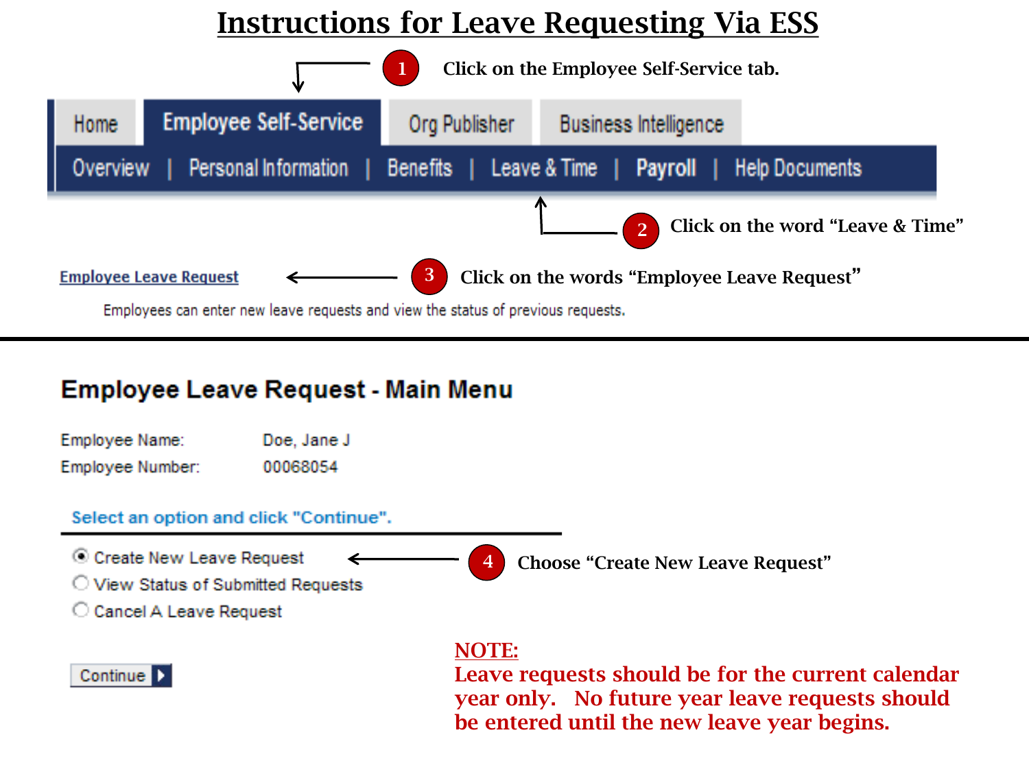# Instructions for Leave Requesting Via ESS



### **Employee Leave Request - Main Menu**

| Employee Name:   | Doe, Jane J |
|------------------|-------------|
| Employee Number: | 00068054    |

### Select an option and click "Continue".

© Create New Leave Request 4 Choose "Create New Leave Request" ◯ View Status of Submitted Requests C Cancel A Leave Request

### Continue D

NOTE:

Leave requests should be for the current calendar year only. No future year leave requests should be entered until the new leave year begins.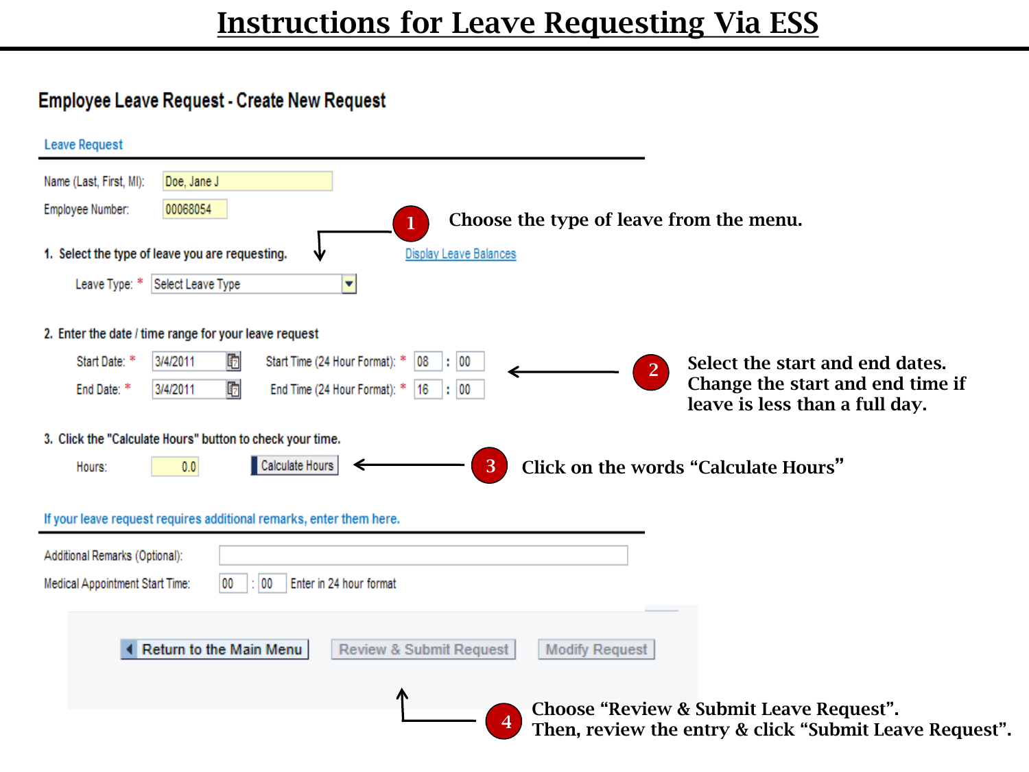### Employee Leave Request - Create New Request

| <b>Leave Request</b>                                                                                                                               |  |  |  |
|----------------------------------------------------------------------------------------------------------------------------------------------------|--|--|--|
| Name (Last, First, MI):<br>Doe, Jane J                                                                                                             |  |  |  |
| 00068054<br>Employee Number:<br>Choose the type of leave from the menu.                                                                            |  |  |  |
| 1. Select the type of leave you are requesting.<br><b>Display Leave Balances</b>                                                                   |  |  |  |
| Leave Type: * Select Leave Type<br>v                                                                                                               |  |  |  |
| 2. Enter the date / time range for your leave request                                                                                              |  |  |  |
| ঢ়<br>Start Date: *<br>3/4/2011<br>Start Time (24 Hour Format): * 08<br>$\therefore$ 00<br>Select the start and end dates.<br>$\overline{2}$       |  |  |  |
| Change the start and end time if<br>ঢ়<br>End Time (24 Hour Format): *<br>$ 16 $ : 00<br>End Date: *<br>3/4/2011<br>leave is less than a full day. |  |  |  |
| 3. Click the "Calculate Hours" button to check your time.                                                                                          |  |  |  |
| Calculate Hours<br>3<br>Click on the words "Calculate Hours"<br>0.0<br>Hours:                                                                      |  |  |  |
| If your leave request requires additional remarks, enter them here.                                                                                |  |  |  |
| Additional Remarks (Optional):                                                                                                                     |  |  |  |
| Enter in 24 hour format<br>Medical Appointment Start Time:<br>00<br>00                                                                             |  |  |  |
| Return to the Main Menu<br><b>Modify Request</b><br><b>Review &amp; Submit Request</b>                                                             |  |  |  |
| Choose "Review & Submit Leave Request".<br>Then, review the entry & click "Submit Leave Request".                                                  |  |  |  |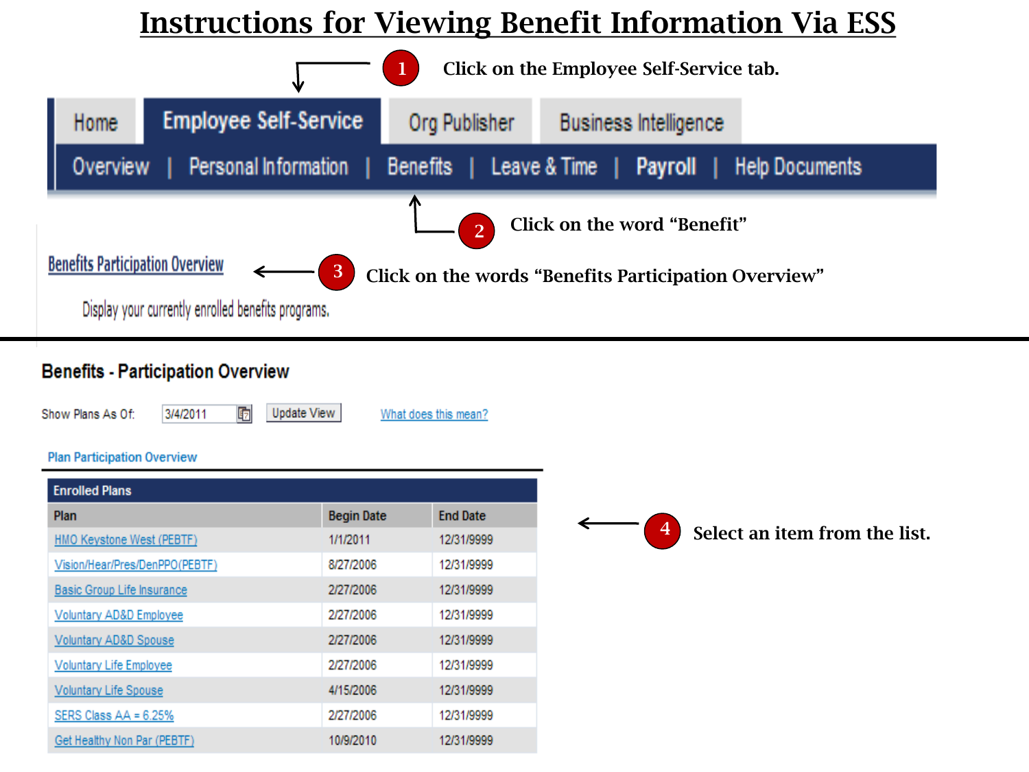# **Instructions for Viewing Benefit Information Via ESS**



### **Benefits - Participation Overview**

3/4/2011

Show Plans As Of:

面 Update View What does this mean?

### **Plan Participation Overview**

| <b>Enrolled Plans</b>             |                   |                 |
|-----------------------------------|-------------------|-----------------|
| Plan                              | <b>Begin Date</b> | <b>End Date</b> |
| HMO Keystone West (PEBTF)         | 1/1/2011          | 12/31/9999      |
| Vision/Hear/Pres/DenPPO(PEBTF)    | 8/27/2006         | 12/31/9999      |
| <b>Basic Group Life Insurance</b> | 2/27/2006         | 12/31/9999      |
| Voluntary AD&D Employee           | 2/27/2006         | 12/31/9999      |
| Voluntary AD&D Spouse             | 2/27/2006         | 12/31/9999      |
| <b>Voluntary Life Employee</b>    | 2/27/2006         | 12/31/9999      |
| <b>Voluntary Life Spouse</b>      | 4/15/2006         | 12/31/9999      |
| SERS Class $AA = 6.25%$           | 2/27/2006         | 12/31/9999      |
| Get Healthy Non Par (PEBTF)       | 10/9/2010         | 12/31/9999      |